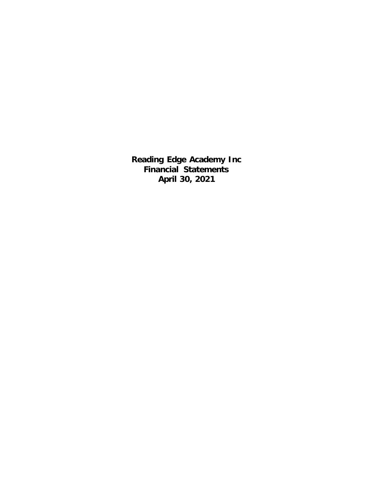**Reading Edge Academy Inc Financial Statements April 30, 2021**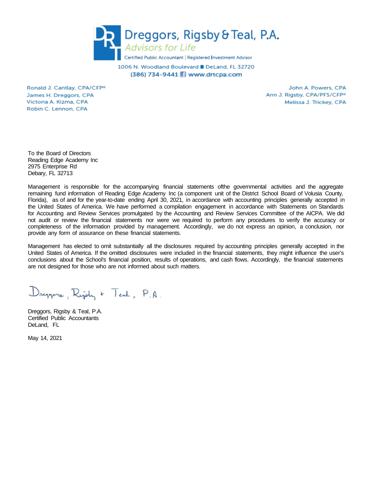

1006 N. Woodland Boulevard DeLand, FL 32720 (386) 734-9441 Www.drtcpa.com

Ronald J. Cantlay, CPA/CFP® James H. Dreggors, CPA Victoria A. Kizma, CPA Robin C. Lennon, CPA

John A. Powers, CPA Ann J. Rigsby, CPA/PFS/CFP<sup>®</sup> Melissa J. Trickey, CPA

To the Board of Directors Reading Edge Academy Inc 2975 Enterprise Rd Debary, FL 32713

Management is responsible for the accompanying financial statements ofthe governmental activities and the aggregate remaining fund information of Reading Edge Academy Inc (a component unit of the District School Board of Volusia County, Florida), as of and for the year-to-date ending April 30, 2021, in accordance with accounting principles generally accepted in the United States of America. We have performed a compilation engagement in accordance with Statements on Standards for Accounting and Review Services promulgated by the Accounting and Review Services Committee of the AICPA. We did not audit or review the financial statements nor were we required to perform any procedures to verify the accuracy or completeness of the information provided by management. Accordingly, we do not express an opinion, a conclusion, nor provide any form of assurance on these financial statements.

Management has elected to omit substantially all the disclosures required by accounting principles generally accepted in the United States of America. If the omitted disclosures were included in the financial statements, they might influence the user's conclusions about the School's financial position, results of operations, and cash flows. Accordingly, the financial statements are not designed for those who are not informed about such matters.

Dreppers, Rigidy + Teal, P.A.

Dreggors, Rigsby & Teal, P.A. Certified Public Accountants DeLand, FL

May 14, 2021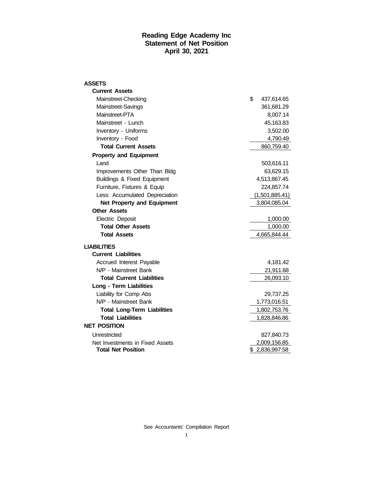#### **Reading Edge Academy Inc Statement of Net Position April 30, 2021**

| ASSETS                                 |                  |          |
|----------------------------------------|------------------|----------|
| <b>Current Assets</b>                  |                  |          |
| Mainstreet-Checking                    | \$<br>437,614.65 |          |
| Mainstreet-Savings                     | 361,681.29       |          |
| Mainstreet-PTA                         |                  | 8,007.14 |
| Mainstreet - Lunch                     | 45,163.83        |          |
| Inventory - Uniforms                   |                  | 3,502.00 |
| Inventory - Food                       |                  | 4,790.49 |
| <b>Total Current Assets</b>            | 860,759.40       |          |
| <b>Property and Equipment</b>          |                  |          |
| Land                                   | 503,616.11       |          |
| Improvements Other Than Bldg           | 63,629.15        |          |
| <b>Buildings &amp; Fixed Equipment</b> | 4,513,867.45     |          |
| Furniture, Fixtures & Equip            | 224,857.74       |          |
| Less: Accumulated Depreciation         | (1,501,885.41)   |          |
| <b>Net Property and Equipment</b>      | 3,804,085.04     |          |
| <b>Other Assets</b>                    |                  |          |
| Electric Deposit                       |                  | 1,000.00 |
| <b>Total Other Assets</b>              |                  | 1,000.00 |
| <b>Total Assets</b>                    | 4,665,844.44     |          |
| <b>LIABILITIES</b>                     |                  |          |
| <b>Current Liabilities</b>             |                  |          |
| Accrued Interest Payable               |                  | 4,181.42 |
| N/P - Mainstreet Bank                  | 21,911.68        |          |
| <b>Total Current Liabilities</b>       | 26,093.10        |          |
| <b>Long - Term Liabilities</b>         |                  |          |
| Liability for Comp Abs                 | 29,737.25        |          |
| N/P - Mainstreet Bank                  | 1,773,016.51     |          |
| <b>Total Long-Term Liabilities</b>     | 1,802,753.76     |          |
| <b>Total Liabilities</b>               | 1,828,846.86     |          |
| <b>NET POSITION</b>                    |                  |          |
| Unrestricted                           | 827,840.73       |          |
| Net Investments in Fixed Assets        | 2,009,156.85     |          |
| <b>Total Net Position</b>              | \$2,836,997.58   |          |
|                                        |                  |          |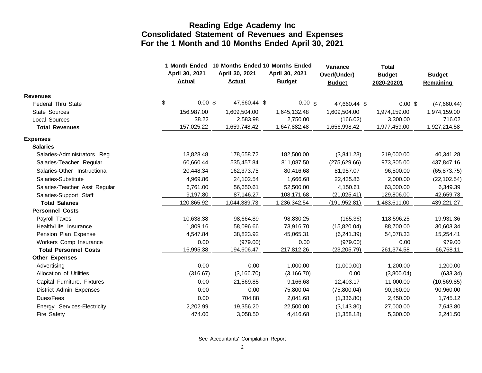|                               |                                 |  | 1 Month Ended 10 Months Ended 10 Months Ended |  |                                 |  | Variance                      | <b>Total</b>                |                            |
|-------------------------------|---------------------------------|--|-----------------------------------------------|--|---------------------------------|--|-------------------------------|-----------------------------|----------------------------|
|                               | April 30, 2021<br><b>Actual</b> |  | April 30, 2021<br><b>Actual</b>               |  | April 30, 2021<br><b>Budget</b> |  | Over/(Under)<br><b>Budget</b> | <b>Budget</b><br>2020-20201 | <b>Budget</b><br>Remaining |
|                               |                                 |  |                                               |  |                                 |  |                               |                             |                            |
| <b>Revenues</b>               | \$<br>$0.00$ \$                 |  | 47,660.44 \$                                  |  | $0.00 \text{ s}$                |  |                               |                             |                            |
| <b>Federal Thru State</b>     |                                 |  |                                               |  |                                 |  | 47,660.44 \$                  | $0.00$ \$                   | (47,660.44)                |
| State Sources                 | 156,987.00                      |  | 1,609,504.00                                  |  | 1,645,132.48                    |  | 1,609,504.00                  | 1,974,159.00                | 1,974,159.00               |
| Local Sources                 | 38.22<br>157,025.22             |  | 2,583.98<br>1,659,748.42                      |  | 2,750.00<br>1,647,882.48        |  | (166.02)<br>1,656,998.42      | 3,300.00<br>1,977,459.00    | 716.02<br>1,927,214.58     |
| <b>Total Revenues</b>         |                                 |  |                                               |  |                                 |  |                               |                             |                            |
| <b>Expenses</b>               |                                 |  |                                               |  |                                 |  |                               |                             |                            |
| <b>Salaries</b>               |                                 |  |                                               |  |                                 |  |                               |                             |                            |
| Salaries-Administrators Reg   | 18,828.48                       |  | 178,658.72                                    |  | 182,500.00                      |  | (3,841.28)                    | 219,000.00                  | 40,341.28                  |
| Salaries-Teacher Regular      | 60,660.44                       |  | 535,457.84                                    |  | 811,087.50                      |  | (275, 629.66)                 | 973,305.00                  | 437,847.16                 |
| Salaries-Other Instructional  | 20,448.34                       |  | 162,373.75                                    |  | 80,416.68                       |  | 81,957.07                     | 96,500.00                   | (65, 873.75)               |
| Salaries-Substitute           | 4,969.86                        |  | 24,102.54                                     |  | 1,666.68                        |  | 22,435.86                     | 2,000.00                    | (22, 102.54)               |
| Salaries-Teacher Asst Regular | 6,761.00                        |  | 56,650.61                                     |  | 52,500.00                       |  | 4,150.61                      | 63,000.00                   | 6,349.39                   |
| Salaries-Support Staff        | 9,197.80                        |  | 87,146.27                                     |  | 108,171.68                      |  | (21, 025.41)                  | 129,806.00                  | 42,659.73                  |
| <b>Total Salaries</b>         | 120,865.92                      |  | 1,044,389.73                                  |  | 1,236,342.54                    |  | (191, 952.81)                 | 1,483,611.00                | 439,221.27                 |
| <b>Personnel Costs</b>        |                                 |  |                                               |  |                                 |  |                               |                             |                            |
| Payroll Taxes                 | 10,638.38                       |  | 98,664.89                                     |  | 98,830.25                       |  | (165.36)                      | 118,596.25                  | 19,931.36                  |
| Health/Life Insurance         | 1,809.16                        |  | 58,096.66                                     |  | 73,916.70                       |  | (15,820.04)                   | 88,700.00                   | 30,603.34                  |
| Pension Plan Expense          | 4,547.84                        |  | 38,823.92                                     |  | 45,065.31                       |  | (6,241.39)                    | 54,078.33                   | 15,254.41                  |
| Workers Comp Insurance        | 0.00                            |  | (979.00)                                      |  | 0.00                            |  | (979.00)                      | 0.00                        | 979.00                     |
| <b>Total Personnel Costs</b>  | 16,995.38                       |  | 194,606.47                                    |  | 217,812.26                      |  | (23, 205.79)                  | 261,374.58                  | 66,768.11                  |
| <b>Other Expenses</b>         |                                 |  |                                               |  |                                 |  |                               |                             |                            |
| Advertising                   | 0.00                            |  | 0.00                                          |  | 1,000.00                        |  | (1,000.00)                    | 1,200.00                    | 1,200.00                   |
| Allocation of Utilities       | (316.67)                        |  | (3, 166.70)                                   |  | (3, 166.70)                     |  | 0.00                          | (3,800.04)                  | (633.34)                   |
| Capital Furniture, Fixtures   | 0.00                            |  | 21,569.85                                     |  | 9,166.68                        |  | 12,403.17                     | 11,000.00                   | (10, 569.85)               |
| District Admin Expenses       | 0.00                            |  | 0.00                                          |  | 75,800.04                       |  | (75,800.04)                   | 90,960.00                   | 90,960.00                  |
| Dues/Fees                     | 0.00                            |  | 704.88                                        |  | 2,041.68                        |  | (1,336.80)                    | 2,450.00                    | 1,745.12                   |
| Energy Services-Electricity   | 2,202.99                        |  | 19,356.20                                     |  | 22,500.00                       |  | (3, 143.80)                   | 27,000.00                   | 7,643.80                   |
| Fire Safety                   | 474.00                          |  | 3,058.50                                      |  | 4,416.68                        |  | (1,358.18)                    | 5,300.00                    | 2,241.50                   |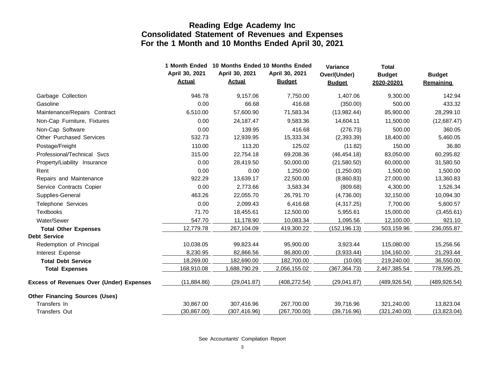|                                                 | 1 Month Ended                   | 10 Months Ended 10 Months Ended |                                 | Variance                      | <b>Total</b>                |                                   |
|-------------------------------------------------|---------------------------------|---------------------------------|---------------------------------|-------------------------------|-----------------------------|-----------------------------------|
|                                                 | April 30, 2021<br><b>Actual</b> | April 30, 2021<br><b>Actual</b> | April 30, 2021<br><b>Budget</b> | Over/(Under)<br><b>Budget</b> | <b>Budget</b><br>2020-20201 | <b>Budget</b><br><b>Remaining</b> |
| Garbage Collection                              | 946.78                          | 9,157.06                        | 7,750.00                        | 1,407.06                      | 9,300.00                    | 142.94                            |
| Gasoline                                        | 0.00                            | 66.68                           | 416.68                          | (350.00)                      | 500.00                      | 433.32                            |
| Maintenance/Repairs Contract                    | 6,510.00                        | 57,600.90                       | 71,583.34                       | (13,982.44)                   | 85,900.00                   | 28,299.10                         |
| Non-Cap Furniture, Fixtures                     | 0.00                            | 24,187.47                       | 9,583.36                        | 14,604.11                     | 11,500.00                   | (12,687.47)                       |
| Non-Cap Software                                | 0.00                            | 139.95                          | 416.68                          | (276.73)                      | 500.00                      | 360.05                            |
| <b>Other Purchased Services</b>                 | 532.73                          | 12,939.95                       | 15,333.34                       | (2,393.39)                    | 18,400.00                   | 5,460.05                          |
| Postage/Freight                                 | 110.00                          | 113.20                          | 125.02                          | (11.82)                       | 150.00                      | 36.80                             |
| Professional/Technical Svcs                     | 315.00                          | 22,754.18                       | 69,208.36                       | (46, 454.18)                  | 83,050.00                   | 60,295.82                         |
| Property/Liability Insurance                    | 0.00                            | 28,419.50                       | 50,000.00                       | (21,580.50)                   | 60,000.00                   | 31,580.50                         |
| Rent                                            | 0.00                            | 0.00                            | 1,250.00                        | (1,250.00)                    | 1,500.00                    | 1,500.00                          |
| Repairs and Maintenance                         | 922.29                          | 13,639.17                       | 22,500.00                       | (8,860.83)                    | 27,000.00                   | 13,360.83                         |
| Service Contracts Copier                        | 0.00                            | 2,773.66                        | 3,583.34                        | (809.68)                      | 4,300.00                    | 1,526.34                          |
| Supplies-General                                | 463.26                          | 22,055.70                       | 26,791.70                       | (4,736.00)                    | 32,150.00                   | 10,094.30                         |
| Telephone Services                              | 0.00                            | 2,099.43                        | 6,416.68                        | (4,317.25)                    | 7,700.00                    | 5,600.57                          |
| <b>Textbooks</b>                                | 71.70                           | 18,455.61                       | 12,500.00                       | 5,955.61                      | 15,000.00                   | (3,455.61)                        |
| Water/Sewer                                     | 547.70                          | 11,178.90                       | 10,083.34                       | 1,095.56                      | 12,100.00                   | 921.10                            |
| <b>Total Other Expenses</b>                     | 12,779.78                       | 267,104.09                      | 419,300.22                      | (152, 196.13)                 | 503,159.96                  | 236,055.87                        |
| <b>Debt Service</b>                             |                                 |                                 |                                 |                               |                             |                                   |
| Redemption of Principal                         | 10,038.05                       | 99,823.44                       | 95,900.00                       | 3,923.44                      | 115,080.00                  | 15,256.56                         |
| Interest Expense                                | 8,230.95                        | 82,866.56                       | 86,800.00                       | (3,933.44)                    | 104,160.00                  | 21,293.44                         |
| <b>Total Debt Service</b>                       | 18,269.00                       | 182,690.00                      | 182,700.00                      | (10.00)                       | 219,240.00                  | 36,550.00                         |
| <b>Total Expenses</b>                           | 168,910.08                      | 1,688,790.29                    | 2,056,155.02                    | (367, 364.73)                 | 2,467,385.54                | 778,595.25                        |
| <b>Excess of Revenues Over (Under) Expenses</b> | (11,884.86)                     | (29,041.87)                     | (408, 272.54)                   | (29,041.87)                   | (489, 926.54)               | (489, 926.54)                     |
| <b>Other Financing Sources (Uses)</b>           |                                 |                                 |                                 |                               |                             |                                   |
| Transfers In                                    | 30,867.00                       | 307,416.96                      | 267,700.00                      | 39,716.96                     | 321,240.00                  | 13,823.04                         |
| <b>Transfers Out</b>                            | (30, 867.00)                    | (307, 416.96)                   | (267,700.00)                    | (39,716.96)                   | (321, 240.00)               | (13,823.04)                       |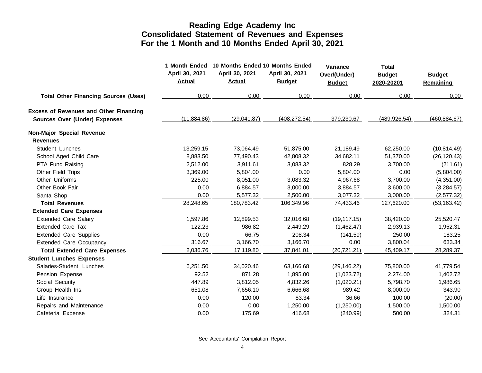|                                               | April 30, 2021<br><b>Actual</b> | 1 Month Ended 10 Months Ended 10 Months Ended<br>April 30, 2021<br><b>Actual</b> | April 30, 2021<br><b>Budget</b> | Variance<br>Over/(Under)<br><b>Budget</b> | <b>Total</b><br><b>Budget</b><br>2020-20201 | <b>Budget</b><br><b>Remaining</b> |
|-----------------------------------------------|---------------------------------|----------------------------------------------------------------------------------|---------------------------------|-------------------------------------------|---------------------------------------------|-----------------------------------|
| <b>Total Other Financing Sources (Uses)</b>   | 0.00                            | 0.00                                                                             | 0.00                            | 0.00                                      | 0.00                                        | 0.00                              |
| <b>Excess of Revenues and Other Financing</b> |                                 |                                                                                  |                                 |                                           |                                             |                                   |
| Sources Over (Under) Expenses                 | (11,884.86)                     | (29,041.87)                                                                      | (408, 272.54)                   | 379,230.67                                | (489, 926.54)                               | (460, 884.67)                     |
| Non-Major Special Revenue                     |                                 |                                                                                  |                                 |                                           |                                             |                                   |
| <b>Revenues</b>                               |                                 |                                                                                  |                                 |                                           |                                             |                                   |
| Student Lunches                               | 13,259.15                       | 73,064.49                                                                        | 51,875.00                       | 21,189.49                                 | 62,250.00                                   | (10, 814.49)                      |
| School Aged Child Care                        | 8,883.50                        | 77,490.43                                                                        | 42,808.32                       | 34,682.11                                 | 51,370.00                                   | (26, 120.43)                      |
| PTA Fund Raising                              | 2,512.00                        | 3,911.61                                                                         | 3,083.32                        | 828.29                                    | 3,700.00                                    | (211.61)                          |
| Other Field Trips                             | 3,369.00                        | 5,804.00                                                                         | 0.00                            | 5,804.00                                  | 0.00                                        | (5,804.00)                        |
| Other Uniforms                                | 225.00                          | 8,051.00                                                                         | 3,083.32                        | 4,967.68                                  | 3,700.00                                    | (4,351.00)                        |
| Other Book Fair                               | 0.00                            | 6,884.57                                                                         | 3,000.00                        | 3,884.57                                  | 3,600.00                                    | (3,284.57)                        |
| Santa Shop                                    | 0.00                            | 5,577.32                                                                         | 2,500.00                        | 3,077.32                                  | 3,000.00                                    | (2,577.32)                        |
| <b>Total Revenues</b>                         | 28,248.65                       | 180,783.42                                                                       | 106,349.96                      | 74,433.46                                 | 127,620.00                                  | (53, 163.42)                      |
| <b>Extended Care Expenses</b>                 |                                 |                                                                                  |                                 |                                           |                                             |                                   |
| <b>Extended Care Salary</b>                   | 1,597.86                        | 12,899.53                                                                        | 32,016.68                       | (19, 117.15)                              | 38,420.00                                   | 25,520.47                         |
| <b>Extended Care Tax</b>                      | 122.23                          | 986.82                                                                           | 2,449.29                        | (1,462.47)                                | 2,939.13                                    | 1,952.31                          |
| <b>Extended Care Supplies</b>                 | 0.00                            | 66.75                                                                            | 208.34                          | (141.59)                                  | 250.00                                      | 183.25                            |
| <b>Extended Care Occupancy</b>                | 316.67                          | 3,166.70                                                                         | 3,166.70                        | 0.00                                      | 3,800.04                                    | 633.34                            |
| <b>Total Extended Care Expenses</b>           | 2,036.76                        | 17,119.80                                                                        | 37,841.01                       | (20, 721.21)                              | 45,409.17                                   | 28,289.37                         |
| <b>Student Lunches Expenses</b>               |                                 |                                                                                  |                                 |                                           |                                             |                                   |
| Salaries-Student Lunches                      | 6,251.50                        | 34,020.46                                                                        | 63,166.68                       | (29, 146.22)                              | 75,800.00                                   | 41,779.54                         |
| Pension Expense                               | 92.52                           | 871.28                                                                           | 1,895.00                        | (1,023.72)                                | 2,274.00                                    | 1,402.72                          |
| Social Security                               | 447.89                          | 3,812.05                                                                         | 4,832.26                        | (1,020.21)                                | 5,798.70                                    | 1,986.65                          |
| Group Health Ins.                             | 651.08                          | 7,656.10                                                                         | 6,666.68                        | 989.42                                    | 8,000.00                                    | 343.90                            |
| Life Insurance                                | 0.00                            | 120.00                                                                           | 83.34                           | 36.66                                     | 100.00                                      | (20.00)                           |
| Repairs and Maintenance                       | 0.00                            | 0.00                                                                             | 1,250.00                        | (1,250.00)                                | 1,500.00                                    | 1,500.00                          |
| Cafeteria Expense                             | 0.00                            | 175.69                                                                           | 416.68                          | (240.99)                                  | 500.00                                      | 324.31                            |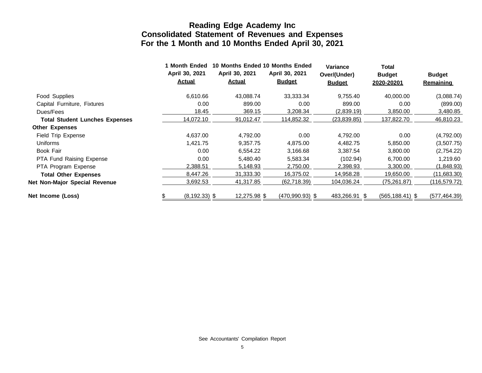|                                       | 1 Month Ended                   | 10 Months Ended 10 Months Ended |                                 | <b>Variance</b>               | Total                       |                                   |
|---------------------------------------|---------------------------------|---------------------------------|---------------------------------|-------------------------------|-----------------------------|-----------------------------------|
|                                       | April 30, 2021<br><u>Actual</u> | April 30, 2021<br><u>Actual</u> | April 30, 2021<br><b>Budget</b> | Over/(Under)<br><b>Budget</b> | <b>Budget</b><br>2020-20201 | <b>Budget</b><br><b>Remaining</b> |
| Food Supplies                         | 6,610.66                        | 43,088.74                       | 33,333.34                       | 9,755.40                      | 40,000.00                   | (3,088.74)                        |
| Capital Furniture, Fixtures           | 0.00                            | 899.00                          | 0.00                            | 899.00                        | 0.00                        | (899.00)                          |
| Dues/Fees                             | 18.45                           | 369.15                          | 3,208.34                        | (2,839.19)                    | 3,850.00                    | 3,480.85                          |
| <b>Total Student Lunches Expenses</b> | 14,072.10                       | 91,012.47                       | 114,852.32                      | (23,839.85)                   | 137,822.70                  | 46,810.23                         |
| <b>Other Expenses</b>                 |                                 |                                 |                                 |                               |                             |                                   |
| Field Trip Expense                    | 4,637.00                        | 4,792.00                        | 0.00                            | 4,792.00                      | 0.00                        | (4,792.00)                        |
| Uniforms                              | 1,421.75                        | 9,357.75                        | 4,875.00                        | 4,482.75                      | 5,850.00                    | (3,507.75)                        |
| Book Fair                             | 0.00                            | 6,554.22                        | 3,166.68                        | 3,387.54                      | 3,800.00                    | (2,754.22)                        |
| PTA Fund Raising Expense              | 0.00                            | 5,480.40                        | 5,583.34                        | (102.94)                      | 6,700.00                    | 1,219.60                          |
| PTA Program Expense                   | 2,388.51                        | 5,148.93                        | 2,750.00                        | 2,398.93                      | 3,300.00                    | (1,848.93)                        |
| <b>Total Other Expenses</b>           | 8,447.26                        | 31,333.30                       | 16,375.02                       | 14,958.28                     | 19,650.00                   | (11,683.30)                       |
| Net Non-Major Special Revenue         | 3,692.53                        | 41,317.85                       | (62, 718.39)                    | 104,036.24                    | (75, 261.87)                | (116,579.72)                      |
| Net Income (Loss)                     | $(8, 192.33)$ \$                | 12,275.98 \$                    | $(470,990.93)$ \$               | 483,266.91 \$                 | $(565, 188.41)$ \$          | (577, 464.39)                     |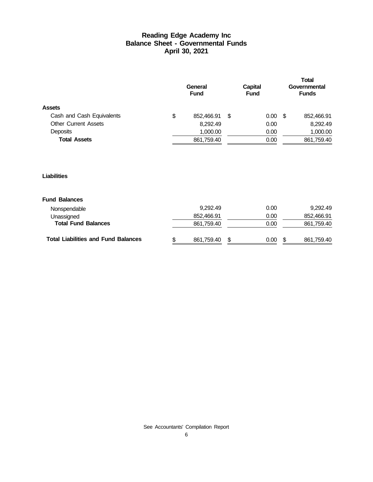#### **Reading Edge Academy Inc Balance Sheet - Governmental Funds April 30, 2021**

|                             | General<br><b>Fund</b> |   | Capital<br><b>Fund</b> |          |    | <b>Total</b><br>Governmental<br><b>Funds</b> |
|-----------------------------|------------------------|---|------------------------|----------|----|----------------------------------------------|
| <b>Assets</b>               |                        |   |                        |          |    |                                              |
| Cash and Cash Equivalents   | \$<br>852,466.91       | S |                        | $0.00\,$ | -S | 852,466.91                                   |
| <b>Other Current Assets</b> | 8,292.49               |   |                        | 0.00     |    | 8,292.49                                     |
| <b>Deposits</b>             | 1,000.00               |   |                        | 0.00     |    | 1,000.00                                     |
| <b>Total Assets</b>         | 861,759.40             |   |                        | 0.00     |    | 861,759.40                                   |
|                             |                        |   |                        |          |    |                                              |

#### **Liabilities**

#### **Fund Balances**

| <b>Total Liabilities and Fund Balances</b> | 861.759.40 | - \$ | 0.00 | 861,759.40 |
|--------------------------------------------|------------|------|------|------------|
| <b>Total Fund Balances</b>                 | 861.759.40 |      | 0.00 | 861,759.40 |
| Unassigned                                 | 852.466.91 |      | 0.00 | 852.466.91 |
| Nonspendable                               | 9.292.49   |      | 0.00 | 9.292.49   |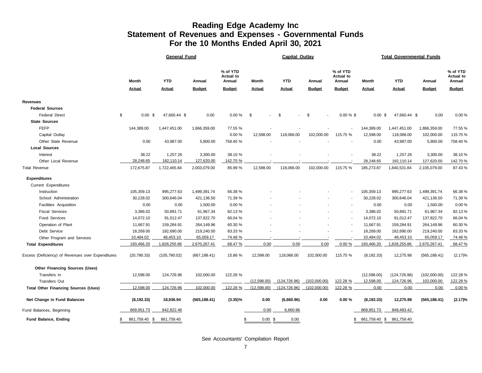#### **Reading Edge Academy Inc Statement of Revenues and Expenses - Governmental Funds For the 10 Months Ended April 30, 2021**

|                                                   | <b>General Fund</b>      |                             |                         |                                                         |                        | <b>Capital Outlay</b>       |                         |                                                         | <b>Total Governmental Funds</b> |                             |                         |                                                         |  |
|---------------------------------------------------|--------------------------|-----------------------------|-------------------------|---------------------------------------------------------|------------------------|-----------------------------|-------------------------|---------------------------------------------------------|---------------------------------|-----------------------------|-------------------------|---------------------------------------------------------|--|
|                                                   | Month<br><b>Actual</b>   | <b>YTD</b><br><u>Actual</u> | Annual<br><b>Budget</b> | % of YTD<br><b>Actual to</b><br>Annual<br><b>Budget</b> | Month<br><b>Actual</b> | <b>YTD</b><br><b>Actual</b> | Annual<br><b>Budget</b> | % of YTD<br><b>Actual to</b><br>Annual<br><b>Budget</b> | Month<br><b>Actual</b>          | <b>YTD</b><br><b>Actual</b> | Annual<br><b>Budget</b> | % of YTD<br><b>Actual to</b><br>Annual<br><b>Budget</b> |  |
| <b>Revenues</b>                                   |                          |                             |                         |                                                         |                        |                             |                         |                                                         |                                 |                             |                         |                                                         |  |
| <b>Federal Sources</b>                            |                          |                             |                         |                                                         |                        |                             |                         |                                                         |                                 |                             |                         |                                                         |  |
| <b>Federal Direct</b>                             | \$<br>$0.00 \text{ }$ \$ | 47,660.44 \$                | 0.00                    | $0.00 \%$                                               | \$                     | \$                          | \$                      | $0.00 \%$ \$                                            | $0.00 \text{ }$ \$              | 47,660.44 \$                | 0.00                    | 0.00%                                                   |  |
| <b>State Sources</b>                              |                          |                             |                         |                                                         |                        |                             |                         |                                                         |                                 |                             |                         |                                                         |  |
| <b>FEFP</b>                                       | 144,389.00               | 1,447,451.00                | 1,866,359.00            | 77.55 %                                                 |                        |                             |                         |                                                         | 144,389.00                      | 1,447,451.00                | 1,866,359.00            | 77.55%                                                  |  |
| Capital Outlay                                    |                          |                             |                         | 0.00%                                                   | 12,598.00              | 118,066.00                  | 102,000.00              | 115.75 %                                                | 12,598.00                       | 118,066.00                  | 102,000.00              | 115.75%                                                 |  |
| Other State Revenue                               | 0.00                     | 43,987.00                   | 5,800.00                | 758.40 %                                                |                        |                             |                         |                                                         | 0.00                            | 43,987.00                   | 5,800.00                | 758.40%                                                 |  |
| <b>Local Sources</b>                              |                          |                             |                         |                                                         |                        |                             |                         |                                                         |                                 |                             |                         |                                                         |  |
| Interest                                          | 38.22                    | 1,257.26                    | 3,300.00                | 38.10 %                                                 |                        |                             |                         |                                                         | 38.22                           | 1,257.26                    | 3,300.00                | 38.10%                                                  |  |
| Other Local Revenue                               | 28,248.65                | 182,110.14                  | 127,620.00              | 142.70 %                                                |                        |                             |                         |                                                         | 28,248.65                       | 182,110.14                  | 127,620.00              | 142.70%                                                 |  |
| <b>Total Revenue</b>                              | 172,675.87               | 1,722,465.84                | 2,003,079.00            | 85.99 %                                                 | 12,598.00              | 118,066.00                  | 102,000.00              | 115.75 %                                                | 185,273.87                      | 1,840,531.84                | 2,105,079.00            | 87.43%                                                  |  |
| <b>Expenditures</b>                               |                          |                             |                         |                                                         |                        |                             |                         |                                                         |                                 |                             |                         |                                                         |  |
| Current Expenditures                              |                          |                             |                         |                                                         |                        |                             |                         |                                                         |                                 |                             |                         |                                                         |  |
| Instruction                                       | 105,359.13               | 995,277.63                  | 1,499,391.74            | 66.38 %                                                 |                        |                             |                         |                                                         | 105,359.13                      | 995,277.63                  | 1,499,391.74            | 66.38%                                                  |  |
| School Administration                             | 30,228.02                | 300,646.04                  | 421,136.50              | 71.39 %                                                 |                        |                             |                         |                                                         | 30,228.02                       | 300,646.04                  | 421,136.50              | 71.39%                                                  |  |
| Facilities Acquisition                            | 0.00                     | 0.00                        | 1,500.00                | 0.00%                                                   |                        |                             |                         |                                                         | 0.00                            | 0.00                        | 1,500.00                | 0.00%                                                   |  |
| <b>Fiscal Services</b>                            | 3,386.02                 | 50,891.71                   | 61,967.34               | 82.13%                                                  |                        |                             |                         | $\blacksquare$                                          | 3,386.02                        | 50,891.71                   | 61,967.34               | 82.13%                                                  |  |
| <b>Food Services</b>                              | 14,072.10                | 91,012.47                   | 137,822.70              | 66.04 %                                                 |                        |                             |                         |                                                         | 14,072.10                       | 91,012.47                   | 137,822.70              | 66.04%                                                  |  |
| Operation of Plant                                | 11,667.91                | 159,284.91                  | 264,149.96              | 60.30 %                                                 |                        |                             |                         |                                                         | 11,667.91                       | 159,284.91                  | 264,149.96              | 60.30%                                                  |  |
| Debt Service                                      | 18,269.00                | 182,690.00                  | 219,240.00              | 83.33 %                                                 |                        |                             |                         |                                                         | 18,269.00                       | 182,690.00                  | 219,240.00              | 83.33%                                                  |  |
| Other Program and Services                        | 10,484.02                | 48,453.10                   | 65,059.17               | 74.48 %                                                 |                        |                             |                         |                                                         | 10,484.02                       | 48,453.10                   | 65,059.17               | 74.48%                                                  |  |
| <b>Total Expenditures</b>                         | 193,466.20               | 1,828,255.86                | 2,670,267.41            | 68.47 %                                                 | 0.00                   | 0.00                        | 0.00                    | 0.00%                                                   | 193,466.20                      | 1,828,255.86                | 2,670,267.41            | 68.47%                                                  |  |
| Excess (Deficiency) of Revenues over Expenditures | (20, 790.33)             | (105, 790.02)               | (667, 188.41)           | 15.86 %                                                 | 12,598.00              | 118,066.00                  | 102,000.00              | 115.75 %                                                | (8, 192.33)                     | 12,275.98                   | (565, 188.41)           | (2.17)%                                                 |  |
| <b>Other Financing Sources (Uses)</b>             |                          |                             |                         |                                                         |                        |                             |                         |                                                         |                                 |                             |                         |                                                         |  |
| Transfers In                                      | 12,598.00                | 124,726.96                  | 102,000.00              | 122.28 %                                                |                        |                             |                         |                                                         | (12, 598.00)                    | (124, 726.96)               | (102,000.00)            | 122.28%                                                 |  |
| <b>Transfers Out</b>                              |                          |                             |                         |                                                         | (12,598.00)            | (124, 726.96)               | (102,000.00)            | 122.28 %                                                | 12,598.00                       | 124,726.96                  | 102,000.00              | 122.28%                                                 |  |
| <b>Total Other Financing Sources (Uses)</b>       | 12,598.00                | 124,726.96                  | 102,000.00              | 122.28 %                                                | (12,598.00)            | (124, 726.96)               | (102,000.00)            | 122.28 %                                                | 0.00                            | 0.00                        | 0.00                    | 0.00%                                                   |  |
| Net Change in Fund Balances                       | (8, 192.33)              | 18,936.94                   | (565, 188.41)           | $(3.35)\%$                                              | 0.00                   | (6,660.96)                  | 0.00                    | 0.00%                                                   | (8, 192.33)                     | 12,275.98                   | (565, 188.41)           | (2.17)%                                                 |  |
| Fund Balances, Beginning                          | 869,951.73               | 842,822.46                  |                         |                                                         | 0.00                   | 6,660.96                    |                         |                                                         | 869,951.73                      | 849,483.42                  |                         |                                                         |  |
| Fund Balance, Ending                              | \$<br>861,759.40 \$      | 861,759.40                  |                         | \$                                                      | $0.00$ \$              | 0.00                        |                         | \$                                                      |                                 | 861,759.40 \$ 861,759.40    |                         |                                                         |  |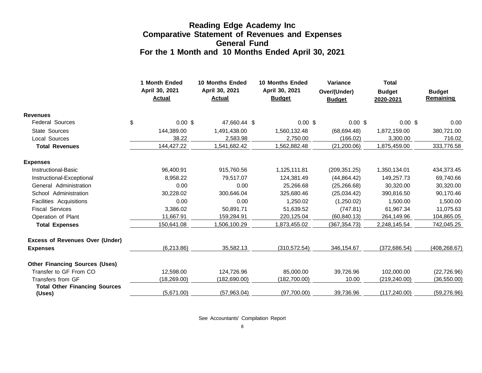#### **Reading Edge Academy Inc Comparative Statement of Revenues and Expenses General Fund For the 1 Month and 10 Months Ended April 30, 2021**

|                                                |    | 1 Month Ended<br>April 30, 2021<br><b>Actual</b> | <b>10 Months Ended</b><br>April 30, 2021<br><b>Actual</b> | <b>10 Months Ended</b><br>April 30, 2021<br><b>Budget</b> |             | Variance<br>Over/(Under)<br><b>Budget</b> |               | <b>Total</b><br><b>Budget</b><br>2020-2021 | <b>Budget</b><br>Remaining |
|------------------------------------------------|----|--------------------------------------------------|-----------------------------------------------------------|-----------------------------------------------------------|-------------|-------------------------------------------|---------------|--------------------------------------------|----------------------------|
| <b>Revenues</b>                                |    |                                                  |                                                           |                                                           |             |                                           |               |                                            |                            |
| <b>Federal Sources</b>                         | \$ | $0.00$ \$                                        | 47,660.44 \$                                              |                                                           | 0.00~\$     |                                           | $0.00$ \$     | $0.00 \text{ }$ \$                         | 0.00                       |
| <b>State Sources</b>                           |    | 144.389.00                                       | 1,491,438.00                                              | 1,560,132.48                                              |             |                                           | (68, 694.48)  | 1,872,159.00                               | 380,721.00                 |
| <b>Local Sources</b>                           |    | 38.22                                            | 2,583.98                                                  |                                                           | 2,750.00    |                                           | (166.02)      | 3,300.00                                   | 716.02                     |
| <b>Total Revenues</b>                          |    | 144,427.22                                       | 1,541,682.42                                              | 1,562,882.48                                              |             |                                           | (21, 200.06)  | 1,875,459.00                               | 333,776.58                 |
| <b>Expenses</b>                                |    |                                                  |                                                           |                                                           |             |                                           |               |                                            |                            |
| <b>Instructional-Basic</b>                     |    | 96,400.91                                        | 915,760.56                                                | 1,125,111.81                                              |             |                                           | (209, 351.25) | 1,350,134.01                               | 434,373.45                 |
| Instructional-Exceptional                      |    | 8,958.22                                         | 79.517.07                                                 | 124,381.49                                                |             |                                           | (44, 864.42)  | 149,257.73                                 | 69,740.66                  |
| General Administration                         |    | 0.00                                             | 0.00                                                      |                                                           | 25,266.68   |                                           | (25, 266.68)  | 30,320.00                                  | 30,320.00                  |
| School Administration                          |    | 30,228.02                                        | 300,646.04                                                | 325,680.46                                                |             |                                           | (25,034.42)   | 390,816.50                                 | 90,170.46                  |
| Facilities Acquisitions                        |    | 0.00                                             | 0.00                                                      |                                                           | 1,250.02    |                                           | (1,250.02)    | 1,500.00                                   | 1,500.00                   |
| <b>Fiscal Services</b>                         |    | 3.386.02                                         | 50.891.71                                                 |                                                           | 51.639.52   |                                           | (747.81)      | 61,967.34                                  | 11,075.63                  |
| Operation of Plant                             |    | 11,667.91                                        | 159,284.91                                                | 220,125.04                                                |             |                                           | (60, 840.13)  | 264,149.96                                 | 104,865.05                 |
| <b>Total Expenses</b>                          |    | 150,641.08                                       | 1,506,100.29                                              | 1,873,455.02                                              |             |                                           | (367, 354.73) | 2,248,145.54                               | 742,045.25                 |
| <b>Excess of Revenues Over (Under)</b>         |    |                                                  |                                                           |                                                           |             |                                           |               |                                            |                            |
| <b>Expenses</b>                                |    | (6,213.86)                                       | 35,582.13                                                 | (310, 572.54)                                             |             |                                           | 346,154.67    | (372,686.54)                               | (408, 268.67)              |
| <b>Other Financing Sources (Uses)</b>          |    |                                                  |                                                           |                                                           |             |                                           |               |                                            |                            |
| Transfer to GF From CO                         |    | 12,598.00                                        | 124,726.96                                                |                                                           | 85,000.00   |                                           | 39,726.96     | 102,000.00                                 | (22, 726.96)               |
| Transfers from GF                              |    | (18, 269.00)                                     | (182, 690.00)                                             | (182,700.00)                                              |             |                                           | 10.00         | (219, 240.00)                              | (36, 550.00)               |
| <b>Total Other Financing Sources</b><br>(Uses) |    | (5,671.00)                                       | (57,963.04)                                               |                                                           | (97,700.00) |                                           | 39,736.96     | (117, 240.00)                              | (59, 276.96)               |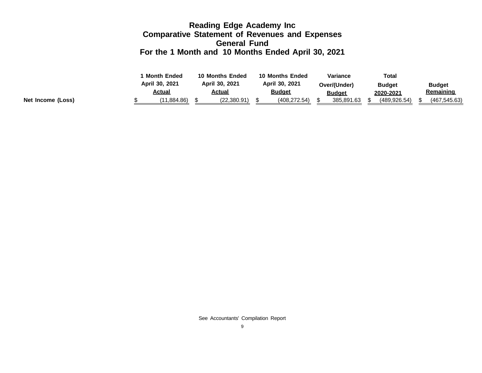#### **Reading Edge Academy Inc Comparative Statement of Revenues and Expenses General Fund For the 1 Month and 10 Months Ended April 30, 2021**

|                   | <b>Month Ended</b><br>10 Months Ended |                                 | <b>10 Months Ended</b> |                |               | Variance | Total         |               |               |
|-------------------|---------------------------------------|---------------------------------|------------------------|----------------|---------------|----------|---------------|---------------|---------------|
|                   | April 30, 2021                        | April 30, 2021<br><u>Actual</u> |                        | April 30, 2021 |               |          | Over/(Under)  | <b>Budget</b> | <b>Budget</b> |
|                   | Actual                                |                                 |                        |                | <b>Budget</b> |          | <u>Budget</u> | 2020-2021     | Remaining     |
| Net Income (Loss) | (11.884.86)                           |                                 | (22, 380.91)           |                | (408.272.54)  |          | 385,891.63    | (489, 926.54) | (467, 545.63) |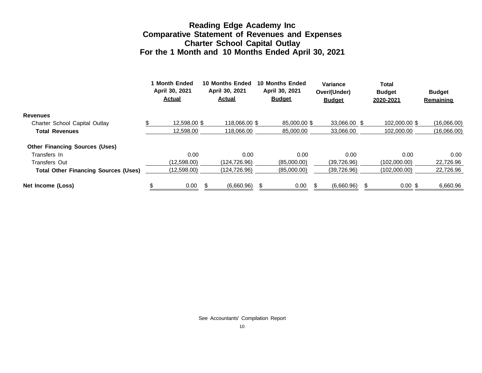#### **Reading Edge Academy Inc Comparative Statement of Revenues and Expenses Charter School Capital Outlay For the 1 Month and 10 Months Ended April 30, 2021**

|                                             |  | 1 Month Ended<br>April 30, 2021<br><b>Actual</b> |  | <b>10 Months Ended</b><br>April 30, 2021<br><b>Actual</b> |  | <b>10 Months Ended</b><br>April 30, 2021<br><b>Budget</b> |  | Variance<br>Over/(Under)<br><b>Budget</b> |  | Total<br><b>Budget</b><br>2020-2021 | <b>Budget</b><br>Remaining |
|---------------------------------------------|--|--------------------------------------------------|--|-----------------------------------------------------------|--|-----------------------------------------------------------|--|-------------------------------------------|--|-------------------------------------|----------------------------|
| <b>Revenues</b>                             |  |                                                  |  |                                                           |  |                                                           |  |                                           |  |                                     |                            |
| Charter School Capital Outlay               |  | 12.598.00 \$                                     |  | 118,066,00 \$                                             |  | 85,000.00 \$                                              |  | 33.066.00 \$                              |  | 102,000,00 \$                       | (16,066.00)                |
| <b>Total Revenues</b>                       |  | 12.598.00                                        |  | 118,066,00                                                |  | 85,000.00                                                 |  | 33,066.00                                 |  | 102.000.00                          | (16,066.00)                |
| <b>Other Financing Sources (Uses)</b>       |  |                                                  |  |                                                           |  |                                                           |  |                                           |  |                                     |                            |
| Transfers In                                |  | 0.00                                             |  | 0.00                                                      |  | 0.00                                                      |  | 0.00                                      |  | 0.00                                | 0.00 <sub>1</sub>          |
| <b>Transfers Out</b>                        |  | (12,598.00)                                      |  | (124.726.96)                                              |  | (85.000.00)                                               |  | (39, 726.96)                              |  | (102.000.00)                        | 22,726.96                  |
| <b>Total Other Financing Sources (Uses)</b> |  | (12,598.00)                                      |  | (124,726.96)                                              |  | (85,000.00)                                               |  | (39, 726.96)                              |  | (102,000.00)                        | 22,726.96                  |
| Net Income (Loss)                           |  | 0.00                                             |  | (6,660.96)                                                |  | 0.00                                                      |  | (6,660.96)                                |  | $0.00$ \$                           | 6,660.96                   |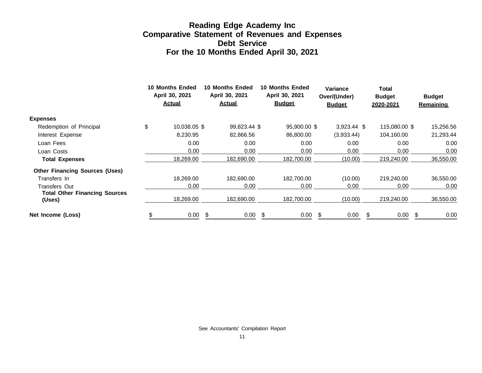### **Reading Edge Academy Inc Comparative Statement of Revenues and Expenses Debt Service For the 10 Months Ended April 30, 2021**

|                                                | <b>10 Months Ended</b><br>April 30, 2021<br><b>Actual</b> |    | 10 Months Ended<br>April 30, 2021<br><u>Actual</u> |    | <b>10 Months Ended</b><br>April 30, 2021<br><b>Budget</b> |  | <b>Variance</b><br>Over/(Under)<br><b>Budget</b> |   | Total<br><b>Budget</b><br>2020-2021 |  | <b>Budget</b><br><b>Remaining</b> |
|------------------------------------------------|-----------------------------------------------------------|----|----------------------------------------------------|----|-----------------------------------------------------------|--|--------------------------------------------------|---|-------------------------------------|--|-----------------------------------|
| <b>Expenses</b>                                |                                                           |    |                                                    |    |                                                           |  |                                                  |   |                                     |  |                                   |
| Redemption of Principal                        | \$<br>10,038.05 \$                                        |    | 99,823.44 \$                                       |    | 95,900.00 \$                                              |  | $3,923.44$ \$                                    |   | 115,080.00 \$                       |  | 15,256.56                         |
| Interest Expense                               | 8,230.95                                                  |    | 82,866.56                                          |    | 86,800.00                                                 |  | (3,933.44)                                       |   | 104,160.00                          |  | 21,293.44                         |
| Loan Fees                                      | 0.00                                                      |    | 0.00                                               |    | 0.00                                                      |  | 0.00                                             |   | 0.00                                |  | 0.00                              |
| Loan Costs                                     | 0.00                                                      |    | 0.00                                               |    | 0.00                                                      |  | 0.00                                             |   | 0.00                                |  | 0.00                              |
| <b>Total Expenses</b>                          | 18,269.00                                                 |    | 182,690.00                                         |    | 182,700.00                                                |  | (10.00)                                          |   | 219,240.00                          |  | 36,550.00                         |
| <b>Other Financing Sources (Uses)</b>          |                                                           |    |                                                    |    |                                                           |  |                                                  |   |                                     |  |                                   |
| Transfers In                                   | 18,269.00                                                 |    | 182.690.00                                         |    | 182.700.00                                                |  | (10.00)                                          |   | 219,240.00                          |  | 36,550.00                         |
| Transfers Out                                  | 0.00                                                      |    | 0.00                                               |    | 0.00                                                      |  | 0.00                                             |   | 0.00                                |  | 0.00                              |
| <b>Total Other Financing Sources</b><br>(Uses) | 18,269.00                                                 |    | 182,690.00                                         |    | 182,700.00                                                |  | (10.00)                                          |   | 219,240.00                          |  | 36,550.00                         |
| Net Income (Loss)                              | 0.00                                                      | \$ | 0.00                                               | \$ | 0.00                                                      |  | 0.00                                             | S | 0.00                                |  | 0.00                              |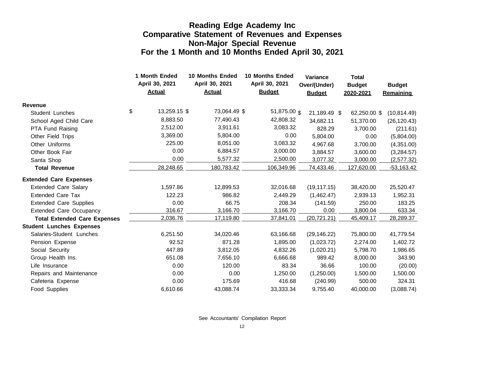#### **Reading Edge Academy Inc Comparative Statement of Revenues and Expenses Non-Major Special Revenue For the 1 Month and 10 Months Ended April 30, 2021**

|                                     | 1 Month Ended<br>April 30, 2021<br><b>Actual</b> | <b>10 Months Ended</b><br>April 30, 2021<br><b>Actual</b> | 10 Months Ended<br>April 30, 2021<br><b>Budget</b> | <b>Variance</b><br>Over/(Under)<br><b>Budget</b> | <b>Total</b><br><b>Budget</b><br>2020-2021 | <b>Budget</b><br>Remaining |
|-------------------------------------|--------------------------------------------------|-----------------------------------------------------------|----------------------------------------------------|--------------------------------------------------|--------------------------------------------|----------------------------|
| <b>Revenue</b>                      |                                                  |                                                           |                                                    |                                                  |                                            |                            |
| <b>Student Lunches</b>              | \$<br>13,259.15 \$                               | 73,064.49 \$                                              | 51,875.00 \$                                       | 21,189.49 \$                                     | 62,250.00 \$                               | (10, 814.49)               |
| School Aged Child Care              | 8,883.50                                         | 77,490.43                                                 | 42,808.32                                          | 34,682.11                                        | 51,370.00                                  | (26, 120.43)               |
| PTA Fund Raising                    | 2,512.00                                         | 3,911.61                                                  | 3,083.32                                           | 828.29                                           | 3,700.00                                   | (211.61)                   |
| Other Field Trips                   | 3,369.00                                         | 5,804.00                                                  | 0.00                                               | 5,804.00                                         | 0.00                                       | (5,804.00)                 |
| Other Uniforms                      | 225.00                                           | 8,051.00                                                  | 3,083.32                                           | 4,967.68                                         | 3,700.00                                   | (4,351.00)                 |
| Other Book Fair                     | 0.00                                             | 6,884.57                                                  | 3,000.00                                           | 3,884.57                                         | 3,600.00                                   | (3,284.57)                 |
| Santa Shop                          | 0.00                                             | 5,577.32                                                  | 2,500.00                                           | 3,077.32                                         | 3,000.00                                   | (2,577.32)                 |
| <b>Total Revenue</b>                | 28,248.65                                        | 180,783.42                                                | 106,349.96                                         | 74,433.46                                        | 127,620.00                                 | $-53,163.42$               |
| <b>Extended Care Expenses</b>       |                                                  |                                                           |                                                    |                                                  |                                            |                            |
| <b>Extended Care Salary</b>         | 1,597.86                                         | 12,899.53                                                 | 32,016.68                                          | (19, 117.15)                                     | 38,420.00                                  | 25,520.47                  |
| <b>Extended Care Tax</b>            | 122.23                                           | 986.82                                                    | 2,449.29                                           | (1,462.47)                                       | 2,939.13                                   | 1,952.31                   |
| <b>Extended Care Supplies</b>       | 0.00                                             | 66.75                                                     | 208.34                                             | (141.59)                                         | 250.00                                     | 183.25                     |
| <b>Extended Care Occupancy</b>      | 316.67                                           | 3,166.70                                                  | 3,166.70                                           | 0.00                                             | 3,800.04                                   | 633.34                     |
| <b>Total Extended Care Expenses</b> | 2,036.76                                         | 17,119.80                                                 | 37,841.01                                          | (20, 721.21)                                     | 45,409.17                                  | 28,289.37                  |
| <b>Student Lunches Expenses</b>     |                                                  |                                                           |                                                    |                                                  |                                            |                            |
| Salaries-Student Lunches            | 6,251.50                                         | 34,020.46                                                 | 63,166.68                                          | (29, 146.22)                                     | 75,800.00                                  | 41,779.54                  |
| Pension Expense                     | 92.52                                            | 871.28                                                    | 1,895.00                                           | (1,023.72)                                       | 2,274.00                                   | 1,402.72                   |
| Social Security                     | 447.89                                           | 3,812.05                                                  | 4,832.26                                           | (1,020.21)                                       | 5,798.70                                   | 1,986.65                   |
| Group Health Ins.                   | 651.08                                           | 7,656.10                                                  | 6,666.68                                           | 989.42                                           | 8,000.00                                   | 343.90                     |
| Life Insurance                      | 0.00                                             | 120.00                                                    | 83.34                                              | 36.66                                            | 100.00                                     | (20.00)                    |
| Repairs and Maintenance             | 0.00                                             | 0.00                                                      | 1,250.00                                           | (1,250.00)                                       | 1,500.00                                   | 1,500.00                   |
| Cafeteria Expense                   | 0.00                                             | 175.69                                                    | 416.68                                             | (240.99)                                         | 500.00                                     | 324.31                     |
| <b>Food Supplies</b>                | 6,610.66                                         | 43.088.74                                                 | 33,333.34                                          | 9,755.40                                         | 40,000.00                                  | (3,088.74)                 |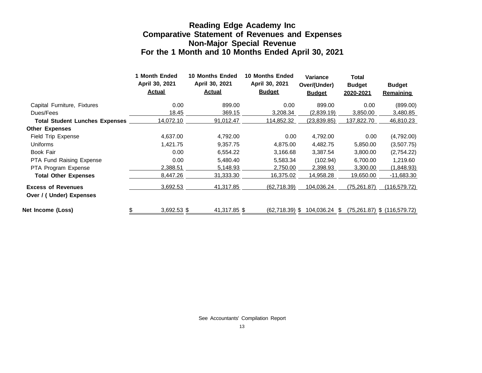#### **Reading Edge Academy Inc Comparative Statement of Revenues and Expenses Non-Major Special Revenue For the 1 Month and 10 Months Ended April 30, 2021**

|                                       | 1 Month Ended<br>April 30, 2021<br><b>Actual</b> | <b>10 Months Ended</b><br>April 30, 2021<br><b>Actual</b> | <b>10 Months Ended</b><br>April 30, 2021<br><b>Budget</b> | <b>Variance</b><br>Over/(Under)<br><b>Budget</b> | <b>Total</b><br><b>Budget</b><br>2020-2021 | <b>Budget</b><br><b>Remaining</b> |
|---------------------------------------|--------------------------------------------------|-----------------------------------------------------------|-----------------------------------------------------------|--------------------------------------------------|--------------------------------------------|-----------------------------------|
| Capital Furniture, Fixtures           | 0.00                                             | 899.00                                                    | 0.00                                                      | 899.00                                           | 0.00                                       | (899.00)                          |
| Dues/Fees                             | 18.45                                            | 369.15                                                    | 3,208.34                                                  | (2,839.19)                                       | 3,850.00                                   | 3,480.85                          |
| <b>Total Student Lunches Expenses</b> | 14,072.10                                        | 91,012.47                                                 | 114,852.32                                                | (23, 839.85)                                     | 137,822.70                                 | 46,810.23                         |
| <b>Other Expenses</b>                 |                                                  |                                                           |                                                           |                                                  |                                            |                                   |
| Field Trip Expense                    | 4,637.00                                         | 4,792.00                                                  | 0.00                                                      | 4,792.00                                         | 0.00                                       | (4,792.00)                        |
| <b>Uniforms</b>                       | 1,421.75                                         | 9,357.75                                                  | 4,875.00                                                  | 4,482.75                                         | 5,850.00                                   | (3,507.75)                        |
| Book Fair                             | 0.00                                             | 6,554.22                                                  | 3,166.68                                                  | 3,387.54                                         | 3,800.00                                   | (2,754.22)                        |
| PTA Fund Raising Expense              | 0.00                                             | 5,480.40                                                  | 5,583.34                                                  | (102.94)                                         | 6,700.00                                   | 1,219.60                          |
| PTA Program Expense                   | 2,388.51                                         | 5,148.93                                                  | 2,750.00                                                  | 2,398.93                                         | 3,300.00                                   | (1,848.93)                        |
| <b>Total Other Expenses</b>           | 8,447.26                                         | 31,333.30                                                 | 16,375.02                                                 | 14,958.28                                        | 19,650.00                                  | $-11,683.30$                      |
| <b>Excess of Revenues</b>             | 3,692.53                                         | 41,317.85                                                 | (62,718.39)                                               | 104,036.24                                       | (75,261.87)                                | (116, 579.72)                     |
| Over / (Under) Expenses               |                                                  |                                                           |                                                           |                                                  |                                            |                                   |
| Net Income (Loss)                     | 3,692.53 \$<br>\$                                | 41,317.85 \$                                              | (62,718.39) \$                                            | 104,036.24 \$                                    |                                            | $(75,261.87)$ \$ $(116,579.72)$   |